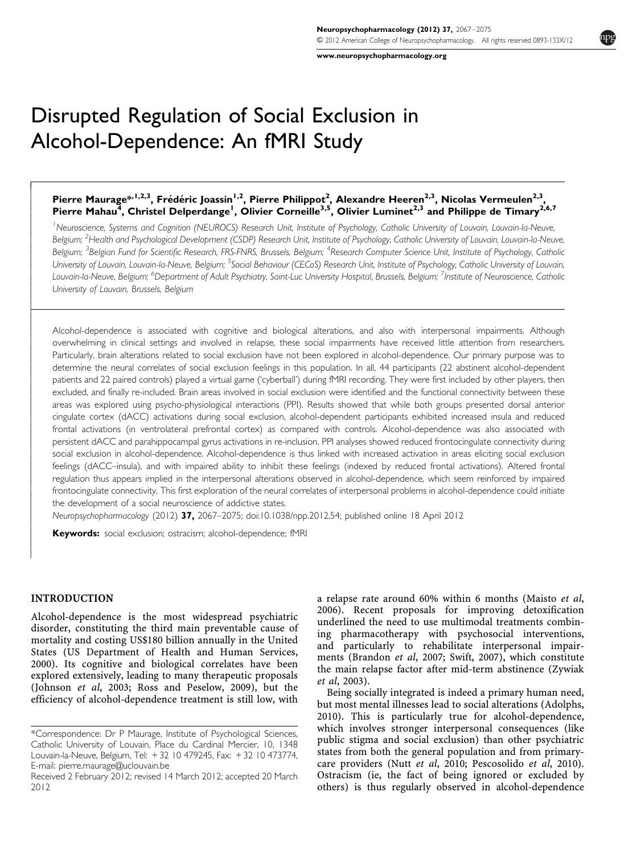[www.neuropsychopharmacology.org](http://www.neuropsychopharmacology.org)

# Disrupted Regulation of Social Exclusion in Alcohol-Dependence: An fMRI Study

# Pierre Maurage<sup>\*, 1,2,3</sup>, Frédéric Joassin<sup>1,2</sup>, Pierre Philippot<sup>2</sup>, Alexandre Heeren<sup>2,3</sup>, Nicolas Vermeulen<sup>2,3</sup>, Pierre Mahau<sup>4</sup>, Christel Delperdange<sup>1</sup>, Olivier Corneille<sup>3,5</sup>, Olivier Luminet<sup>2,3</sup> and Philippe de Timary<sup>2,6,7</sup>

<sup>1</sup>Neuroscience, Systems and Cognition (NEUROCS) Research Unit, Institute of Psychology, Catholic University of Louvain, Louvain-la-Neuve, Belgium; <sup>2</sup>Health and Psychological Development (CSDP) Research Unit, Institute of Psychology, Catholic University of Louvain, Louvain-la-Neuve, Belgium; <sup>3</sup>Belgian Fund for Scientific Research, FRS-FNRS, Brussels, Belgium; <sup>4</sup>Research Computer Science Unit, Institute of Psychology, Catholic University of Louvain, Louvain-la-Neuve, Belgium; <sup>5</sup>Social Behaviour (CECoS) Research Unit, Institute of Psychology, Catholic University of Louvain, Louvain-la-Neuve, Belgium; <sup>6</sup>Department of Adult Psychiatry, Saint-Luc University Hospital, Brussels, Belgium; <sup>7</sup>Institute of Neuroscience, Catholic University of Louvain, Brussels, Belgium

Alcohol-dependence is associated with cognitive and biological alterations, and also with interpersonal impairments. Although overwhelming in clinical settings and involved in relapse, these social impairments have received little attention from researchers. Particularly, brain alterations related to social exclusion have not been explored in alcohol-dependence. Our primary purpose was to determine the neural correlates of social exclusion feelings in this population. In all, 44 participants (22 abstinent alcohol-dependent patients and 22 paired controls) played a virtual game ('cyberball') during fMRI recording. They were first included by other players, then excluded, and finally re-included. Brain areas involved in social exclusion were identified and the functional connectivity between these areas was explored using psycho-physiological interactions (PPI). Results showed that while both groups presented dorsal anterior cingulate cortex (dACC) activations during social exclusion, alcohol-dependent participants exhibited increased insula and reduced frontal activations (in ventrolateral prefrontal cortex) as compared with controls. Alcohol-dependence was also associated with persistent dACC and parahippocampal gyrus activations in re-inclusion. PPI analyses showed reduced frontocingulate connectivity during social exclusion in alcohol-dependence. Alcohol-dependence is thus linked with increased activation in areas eliciting social exclusion feelings (dACC–insula), and with impaired ability to inhibit these feelings (indexed by reduced frontal activations). Altered frontal regulation thus appears implied in the interpersonal alterations observed in alcohol-dependence, which seem reinforced by impaired frontocingulate connectivity. This first exploration of the neural correlates of interpersonal problems in alcohol-dependence could initiate the development of a social neuroscience of addictive states.

Neuropsychopharmacology (2012) 37, 2067–2075; doi[:10.1038/npp.2012.54;](http://dx.doi.org/10.1038/npp.2012.54) published online 18 April 2012

Keywords: social exclusion; ostracism; alcohol-dependence; fMRI

#### INTRODUCTION

!! ! ! ! ! ! ! ! ! ! ! ! ! ! ! ! ! ! ! ! ! ! ! ! ! ! ! ! ! ! ! ! ! ! ! ! ! ! ! ! ! ! ! ! ! ! ! ! ! ! ! ! ! ! ! ! ! ! !

> Alcohol-dependence is the most widespread psychiatric disorder, constituting the third main preventable cause of mortality and costing US\$180 billion annually in the United States [\(US Department of Health and Human Services,](#page-8-0) [2000\)](#page-8-0). Its cognitive and biological correlates have been explored extensively, leading to many therapeutic proposals [\(Johnson](#page-8-0) et al, 2003; [Ross and Peselow, 2009](#page-8-0)), but the efficiency of alcohol-dependence treatment is still low, with

a relapse rate around 60% within 6 months [\(Maisto](#page-8-0) et al, [2006\)](#page-8-0). Recent proposals for improving detoxification underlined the need to use multimodal treatments combining pharmacotherapy with psychosocial interventions, and particularly to rehabilitate interpersonal impairments [\(Brandon](#page-7-0) et al, 2007; [Swift, 2007\)](#page-8-0), which constitute the main relapse factor after mid-term abstinence [\(Zywiak](#page-8-0) et al[, 2003\)](#page-8-0).

Being socially integrated is indeed a primary human need, but most mental illnesses lead to social alterations [\(Adolphs,](#page-7-0) [2010\)](#page-7-0). This is particularly true for alcohol-dependence, which involves stronger interpersonal consequences (like public stigma and social exclusion) than other psychiatric states from both the general population and from primarycare providers (Nutt et al[, 2010; Pescosolido](#page-8-0) et al, 2010). Ostracism (ie, the fact of being ignored or excluded by others) is thus regularly observed in alcohol-dependence

<sup>\*</sup>Correspondence: Dr P Maurage, Institute of Psychological Sciences, Catholic University of Louvain, Place du Cardinal Mercier, 10, 1348 Louvain-la-Neuve, Belgium, Tel: + 32 10 479245, Fax: + 32 10 473774, E-mail: [pierre.maurage@uclouvain.be](mailto:pierre.maurage@uclouvain.be)

Received 2 February 2012; revised 14 March 2012; accepted 20 March 2012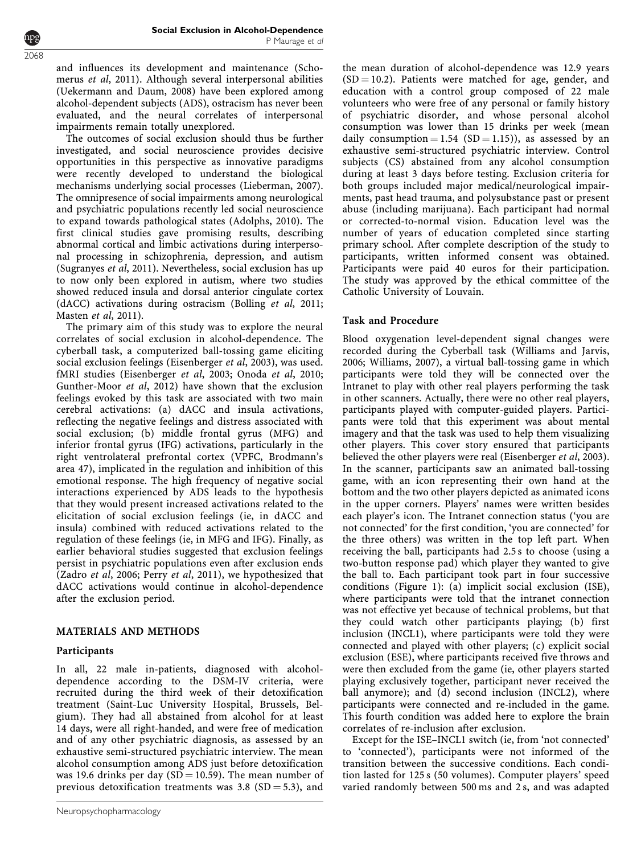and influences its development and maintenance [\(Scho](#page-8-0)[merus](#page-8-0) et al, 2011). Although several interpersonal abilities ([Uekermann and Daum, 2008](#page-8-0)) have been explored among alcohol-dependent subjects (ADS), ostracism has never been evaluated, and the neural correlates of interpersonal impairments remain totally unexplored.

The outcomes of social exclusion should thus be further investigated, and social neuroscience provides decisive opportunities in this perspective as innovative paradigms were recently developed to understand the biological mechanisms underlying social processes [\(Lieberman, 2007](#page-8-0)). The omnipresence of social impairments among neurological and psychiatric populations recently led social neuroscience to expand towards pathological states ([Adolphs, 2010](#page-7-0)). The first clinical studies gave promising results, describing abnormal cortical and limbic activations during interpersonal processing in schizophrenia, depression, and autism ([Sugranyes](#page-8-0) et al, 2011). Nevertheless, social exclusion has up to now only been explored in autism, where two studies showed reduced insula and dorsal anterior cingulate cortex (dACC) activations during ostracism ([Bolling](#page-7-0) et al, 2011; [Masten](#page-8-0) et al, 2011).

The primary aim of this study was to explore the neural correlates of social exclusion in alcohol-dependence. The cyberball task, a computerized ball-tossing game eliciting social exclusion feelings [\(Eisenberger](#page-7-0) et al, 2003), was used. fMRI studies [\(Eisenberger](#page-7-0) et al, 2003; [Onoda](#page-8-0) et al, 2010; [Gunther-Moor](#page-8-0) et al, 2012) have shown that the exclusion feelings evoked by this task are associated with two main cerebral activations: (a) dACC and insula activations, reflecting the negative feelings and distress associated with social exclusion; (b) middle frontal gyrus (MFG) and inferior frontal gyrus (IFG) activations, particularly in the right ventrolateral prefrontal cortex (VPFC, Brodmann's area 47), implicated in the regulation and inhibition of this emotional response. The high frequency of negative social interactions experienced by ADS leads to the hypothesis that they would present increased activations related to the elicitation of social exclusion feelings (ie, in dACC and insula) combined with reduced activations related to the regulation of these feelings (ie, in MFG and IFG). Finally, as earlier behavioral studies suggested that exclusion feelings persist in psychiatric populations even after exclusion ends (Zadro et al[, 2006;](#page-8-0) Perry et al[, 2011\)](#page-8-0), we hypothesized that dACC activations would continue in alcohol-dependence after the exclusion period.

# MATERIALS AND METHODS

## Participants

In all, 22 male in-patients, diagnosed with alcoholdependence according to the DSM-IV criteria, were recruited during the third week of their detoxification treatment (Saint-Luc University Hospital, Brussels, Belgium). They had all abstained from alcohol for at least 14 days, were all right-handed, and were free of medication and of any other psychiatric diagnosis, as assessed by an exhaustive semi-structured psychiatric interview. The mean alcohol consumption among ADS just before detoxification was 19.6 drinks per day (SD = 10.59). The mean number of previous detoxification treatments was 3.8 (SD = 5.3), and

the mean duration of alcohol-dependence was 12.9 years  $(SD = 10.2)$ . Patients were matched for age, gender, and education with a control group composed of 22 male volunteers who were free of any personal or family history of psychiatric disorder, and whose personal alcohol consumption was lower than 15 drinks per week (mean daily consumption = 1.54 (SD = 1.15)), as assessed by an exhaustive semi-structured psychiatric interview. Control subjects (CS) abstained from any alcohol consumption during at least 3 days before testing. Exclusion criteria for both groups included major medical/neurological impairments, past head trauma, and polysubstance past or present abuse (including marijuana). Each participant had normal or corrected-to-normal vision. Education level was the number of years of education completed since starting primary school. After complete description of the study to participants, written informed consent was obtained. Participants were paid 40 euros for their participation. The study was approved by the ethical committee of the Catholic University of Louvain.

## Task and Procedure

Blood oxygenation level-dependent signal changes were recorded during the Cyberball task [\(Williams and Jarvis,](#page-8-0) [2006](#page-8-0); [Williams, 2007\)](#page-8-0), a virtual ball-tossing game in which participants were told they will be connected over the Intranet to play with other real players performing the task in other scanners. Actually, there were no other real players, participants played with computer-guided players. Participants were told that this experiment was about mental imagery and that the task was used to help them visualizing other players. This cover story ensured that participants believed the other players were real [\(Eisenberger](#page-7-0) et al, 2003). In the scanner, participants saw an animated ball-tossing game, with an icon representing their own hand at the bottom and the two other players depicted as animated icons in the upper corners. Players' names were written besides each player's icon. The Intranet connection status ('you are not connected' for the first condition, 'you are connected' for the three others) was written in the top left part. When receiving the ball, participants had 2.5 s to choose (using a two-button response pad) which player they wanted to give the ball to. Each participant took part in four successive conditions [\(Figure 1](#page-2-0)): (a) implicit social exclusion (ISE), where participants were told that the intranet connection was not effective yet because of technical problems, but that they could watch other participants playing; (b) first inclusion (INCL1), where participants were told they were connected and played with other players; (c) explicit social exclusion (ESE), where participants received five throws and were then excluded from the game (ie, other players started playing exclusively together, participant never received the ball anymore); and (d) second inclusion (INCL2), where participants were connected and re-included in the game. This fourth condition was added here to explore the brain correlates of re-inclusion after exclusion.

Except for the ISE–INCL1 switch (ie, from 'not connected' to 'connected'), participants were not informed of the transition between the successive conditions. Each condition lasted for 125 s (50 volumes). Computer players' speed varied randomly between 500 ms and 2 s, and was adapted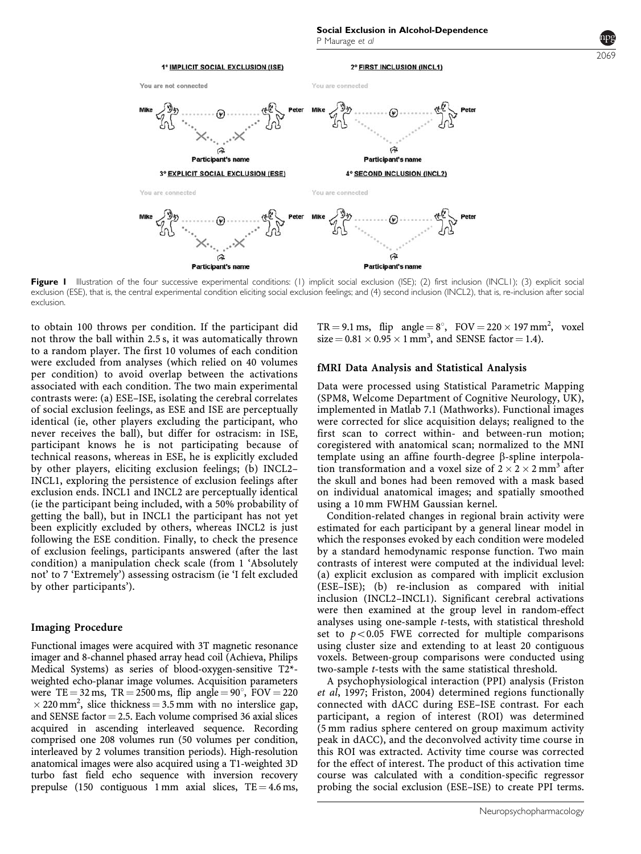<span id="page-2-0"></span>

Figure I Illustration of the four successive experimental conditions: (1) implicit social exclusion (ISE); (2) first inclusion (INCL1); (3) explicit social exclusion (ESE), that is, the central experimental condition eliciting social exclusion feelings; and (4) second inclusion (INCL2), that is, re-inclusion after social exclusion.

to obtain 100 throws per condition. If the participant did not throw the ball within 2.5 s, it was automatically thrown to a random player. The first 10 volumes of each condition were excluded from analyses (which relied on 40 volumes per condition) to avoid overlap between the activations associated with each condition. The two main experimental contrasts were: (a) ESE–ISE, isolating the cerebral correlates of social exclusion feelings, as ESE and ISE are perceptually identical (ie, other players excluding the participant, who never receives the ball), but differ for ostracism: in ISE, participant knows he is not participating because of technical reasons, whereas in ESE, he is explicitly excluded by other players, eliciting exclusion feelings; (b) INCL2– INCL1, exploring the persistence of exclusion feelings after exclusion ends. INCL1 and INCL2 are perceptually identical (ie the participant being included, with a 50% probability of getting the ball), but in INCL1 the participant has not yet been explicitly excluded by others, whereas INCL2 is just following the ESE condition. Finally, to check the presence of exclusion feelings, participants answered (after the last condition) a manipulation check scale (from 1 'Absolutely not' to 7 'Extremely') assessing ostracism (ie 'I felt excluded by other participants').

#### Imaging Procedure

Functional images were acquired with 3T magnetic resonance imager and 8-channel phased array head coil (Achieva, Philips Medical Systems) as series of blood-oxygen-sensitive T2\* weighted echo-planar image volumes. Acquisition parameters were TE = 32 ms, TR = 2500 ms, flip angle =  $90^{\circ}$ , FOV = 220  $\times$  220 mm<sup>2</sup>, slice thickness = 3.5 mm with no interslice gap, and SENSE factor  $= 2.5$ . Each volume comprised 36 axial slices acquired in ascending interleaved sequence. Recording comprised one 208 volumes run (50 volumes per condition, interleaved by 2 volumes transition periods). High-resolution anatomical images were also acquired using a T1-weighted 3D turbo fast field echo sequence with inversion recovery prepulse (150 contiguous 1 mm axial slices,  $TE = 4.6$  ms, TR = 9.1 ms, flip angle =  $8^\circ$ , FOV = 220 × 197 mm<sup>2</sup>, voxel size =  $0.81 \times 0.95 \times 1$  mm<sup>3</sup>, and SENSE factor = 1.4).

## fMRI Data Analysis and Statistical Analysis

Data were processed using Statistical Parametric Mapping (SPM8, Welcome Department of Cognitive Neurology, UK), implemented in Matlab 7.1 (Mathworks). Functional images were corrected for slice acquisition delays; realigned to the first scan to correct within- and between-run motion; coregistered with anatomical scan; normalized to the MNI template using an affine fourth-degree  $\beta$ -spline interpolation transformation and a voxel size of  $2 \times 2 \times 2$  mm<sup>3</sup> after the skull and bones had been removed with a mask based on individual anatomical images; and spatially smoothed using a 10 mm FWHM Gaussian kernel.

Condition-related changes in regional brain activity were estimated for each participant by a general linear model in which the responses evoked by each condition were modeled by a standard hemodynamic response function. Two main contrasts of interest were computed at the individual level: (a) explicit exclusion as compared with implicit exclusion (ESE–ISE); (b) re-inclusion as compared with initial inclusion (INCL2–INCL1). Significant cerebral activations were then examined at the group level in random-effect analyses using one-sample t-tests, with statistical threshold set to  $p < 0.05$  FWE corrected for multiple comparisons using cluster size and extending to at least 20 contiguous voxels. Between-group comparisons were conducted using two-sample t-tests with the same statistical threshold.

A psychophysiological interaction (PPI) analysis [\(Friston](#page-8-0) et al[, 1997](#page-8-0); [Friston, 2004](#page-7-0)) determined regions functionally connected with dACC during ESE–ISE contrast. For each participant, a region of interest (ROI) was determined (5 mm radius sphere centered on group maximum activity peak in dACC), and the deconvolved activity time course in this ROI was extracted. Activity time course was corrected for the effect of interest. The product of this activation time course was calculated with a condition-specific regressor probing the social exclusion (ESE–ISE) to create PPI terms.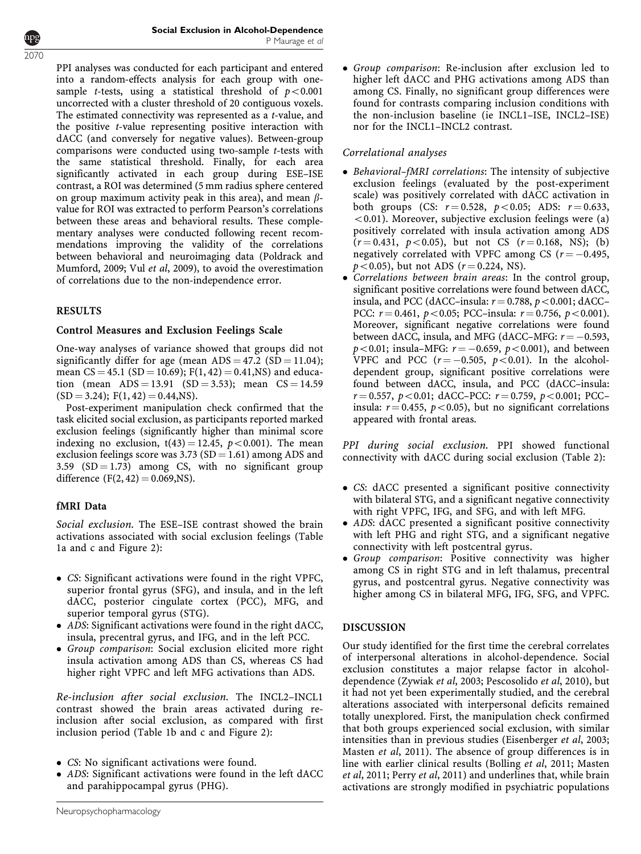PPI analyses was conducted for each participant and entered into a random-effects analysis for each group with onesample *t*-tests, using a statistical threshold of  $p < 0.001$ uncorrected with a cluster threshold of 20 contiguous voxels. The estimated connectivity was represented as a t-value, and the positive t-value representing positive interaction with dACC (and conversely for negative values). Between-group comparisons were conducted using two-sample t-tests with the same statistical threshold. Finally, for each area significantly activated in each group during ESE–ISE contrast, a ROI was determined (5 mm radius sphere centered on group maximum activity peak in this area), and mean  $\beta$ value for ROI was extracted to perform Pearson's correlations between these areas and behavioral results. These complementary analyses were conducted following recent recommendations improving the validity of the correlations between behavioral and neuroimaging data [\(Poldrack and](#page-8-0) [Mumford, 2009](#page-8-0); Vul et al[, 2009\)](#page-8-0), to avoid the overestimation of correlations due to the non-independence error.

## RESULTS

## Control Measures and Exclusion Feelings Scale

One-way analyses of variance showed that groups did not significantly differ for age (mean  $ADS = 47.2$  ( $SD = 11.04$ ); mean  $CS = 45.1$  (SD = 10.69); F(1, 42) = 0.41,NS) and education (mean  $ADS = 13.91$   $(SD = 3.53)$ ; mean  $CS = 14.59$  $(SD = 3.24); F(1, 42) = 0.44; NS.$ 

Post-experiment manipulation check confirmed that the task elicited social exclusion, as participants reported marked exclusion feelings (significantly higher than minimal score indexing no exclusion,  $t(43) = 12.45$ ,  $p < 0.001$ ). The mean exclusion feelings score was  $3.73$  (SD = 1.61) among ADS and 3.59  $(SD = 1.73)$  among CS, with no significant group difference (F(2, 42) = 0.069,NS).

# fMRI Data

Social exclusion. The ESE–ISE contrast showed the brain activations associated with social exclusion feelings ([Table](#page-4-0) [1a and c](#page-4-0) and [Figure 2\)](#page-5-0):

- CS: Significant activations were found in the right VPFC, superior frontal gyrus (SFG), and insula, and in the left dACC, posterior cingulate cortex (PCC), MFG, and superior temporal gyrus (STG).
- ADS: Significant activations were found in the right dACC, insula, precentral gyrus, and IFG, and in the left PCC.
- Group comparison: Social exclusion elicited more right insula activation among ADS than CS, whereas CS had higher right VPFC and left MFG activations than ADS.

Re-inclusion after social exclusion. The INCL2–INCL1 contrast showed the brain areas activated during reinclusion after social exclusion, as compared with first inclusion period ([Table 1b and c](#page-4-0) and [Figure 2](#page-5-0)):

- CS: No significant activations were found.
- ADS: Significant activations were found in the left dACC and parahippocampal gyrus (PHG).

• Group comparison: Re-inclusion after exclusion led to higher left dACC and PHG activations among ADS than among CS. Finally, no significant group differences were found for contrasts comparing inclusion conditions with the non-inclusion baseline (ie INCL1–ISE, INCL2–ISE) nor for the INCL1–INCL2 contrast.

# Correlational analyses

- Behavioral-fMRI correlations: The intensity of subjective exclusion feelings (evaluated by the post-experiment scale) was positively correlated with dACC activation in both groups (CS:  $r = 0.528$ ,  $p < 0.05$ ; ADS:  $r = 0.633$ ,  $(0.01)$ . Moreover, subjective exclusion feelings were (a) positively correlated with insula activation among ADS  $(r = 0.431, p < 0.05)$ , but not CS  $(r = 0.168, NS)$ ; (b) negatively correlated with VPFC among CS ( $r = -0.495$ ,  $p < 0.05$ ), but not ADS ( $r = 0.224$ , NS).
- Correlations between brain areas: In the control group, significant positive correlations were found between dACC, insula, and PCC (dACC–insula:  $r = 0.788$ ,  $p < 0.001$ ; dACC– PCC:  $r = 0.461$ ,  $p < 0.05$ ; PCC-insula:  $r = 0.756$ ,  $p < 0.001$ ). Moreover, significant negative correlations were found between dACC, insula, and MFG (dACC–MFG:  $r = -0.593$ ,  $p < 0.01$ ; insula–MFG:  $r = -0.659$ ,  $p < 0.001$ ), and between VPFC and PCC  $(r = -0.505, p < 0.01)$ . In the alcoholdependent group, significant positive correlations were found between dACC, insula, and PCC (dACC–insula:  $r = 0.557$ ,  $p < 0.01$ ; dACC–PCC:  $r = 0.759$ ,  $p < 0.001$ ; PCC– insula:  $r = 0.455$ ,  $p < 0.05$ ), but no significant correlations appeared with frontal areas.

PPI during social exclusion. PPI showed functional connectivity with dACC during social exclusion ([Table 2\)](#page-6-0):

- CS: dACC presented a significant positive connectivity with bilateral STG, and a significant negative connectivity with right VPFC, IFG, and SFG, and with left MFG.
- ADS: dACC presented a significant positive connectivity with left PHG and right STG, and a significant negative connectivity with left postcentral gyrus.
- Group comparison: Positive connectivity was higher among CS in right STG and in left thalamus, precentral gyrus, and postcentral gyrus. Negative connectivity was higher among CS in bilateral MFG, IFG, SFG, and VPFC.

## DISCUSSION

Our study identified for the first time the cerebral correlates of interpersonal alterations in alcohol-dependence. Social exclusion constitutes a major relapse factor in alcoholdependence [\(Zywiak](#page-8-0) et al, 2003; [Pescosolido](#page-8-0) et al, 2010), but it had not yet been experimentally studied, and the cerebral alterations associated with interpersonal deficits remained totally unexplored. First, the manipulation check confirmed that both groups experienced social exclusion, with similar intensities than in previous studies [\(Eisenberger](#page-7-0) et al, 2003; [Masten](#page-8-0) et al, 2011). The absence of group differences is in line with earlier clinical results ([Bolling](#page-7-0) et al, 2011; [Masten](#page-8-0) et al[, 2011;](#page-8-0) Perry et al[, 2011](#page-8-0)) and underlines that, while brain activations are strongly modified in psychiatric populations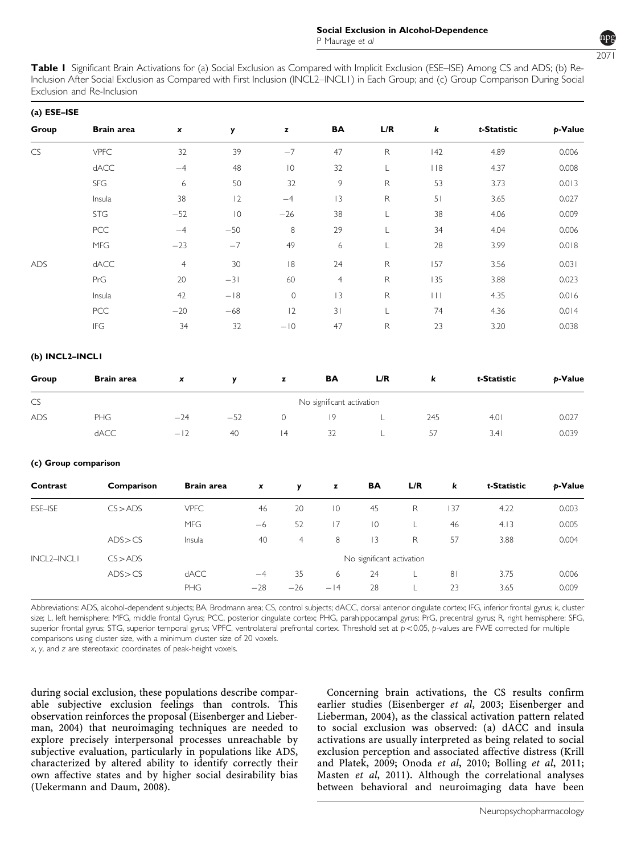2071

<span id="page-4-0"></span>Table I Significant Brain Activations for (a) Social Exclusion as Compared with Implicit Exclusion (ESE–ISE) Among CS and ADS; (b) Re-Inclusion After Social Exclusion as Compared with First Inclusion (INCL2–INCL1) in Each Group; and (c) Group Comparison During Social Exclusion and Re-Inclusion

| p-Value |
|---------|
|         |
| 0.006   |
| 0.008   |
| 0.013   |
| 0.027   |
| 0.009   |
| 0.006   |
| 0.018   |
| 0.031   |
| 0.023   |
| 0.016   |
| 0.014   |
| 0.038   |
|         |

# (b) INCL2–INCL1

| Group      | Brain area  | x     | v     | z  | BA                        | L/R | ĸ   | t-Statistic | <b>b-Value</b> |
|------------|-------------|-------|-------|----|---------------------------|-----|-----|-------------|----------------|
| CS         |             |       |       |    | No significant activation |     |     |             |                |
| <b>ADS</b> | PHG         | $-24$ | $-52$ |    | 9                         |     | 245 | 4.01        | 0.027          |
|            | <b>dACC</b> | $-12$ | 40    | 14 | 32                        | -   | 57  | 3.4         | 0.039          |

#### (c) Group comparison

| Contrast    | Comparison   | <b>Brain area</b> | x     | у              | z               | BA                        | L/R          | k   | t-Statistic | <b>p-Value</b> |
|-------------|--------------|-------------------|-------|----------------|-----------------|---------------------------|--------------|-----|-------------|----------------|
| ESE-ISE     | $CS$ $>$ ADS | <b>VPFC</b>       | 46    | 20             | $\overline{10}$ | 45                        | R            | 137 | 4.22        | 0.003          |
|             |              | <b>MFG</b>        | $-6$  | 52             | 17              | $ 0\rangle$               |              | 46  | 4.13        | 0.005          |
|             | ADS > CS     | Insula            | 40    | $\overline{4}$ | 8               | 3                         | $\mathsf{R}$ | 57  | 3.88        | 0.004          |
| INCL2-INCLI | $CS$ $>$ ADS |                   |       |                |                 | No significant activation |              |     |             |                |
|             | ADS > CS     | <b>dACC</b>       | $-4$  | 35             | 6               | 24                        |              | 81  | 3.75        | 0.006          |
|             |              | <b>PHG</b>        | $-28$ | $-26$          | $-14$           | 28                        |              | 23  | 3.65        | 0.009          |

Abbreviations: ADS, alcohol-dependent subjects; BA, Brodmann area; CS, control subjects; dACC, dorsal anterior cingulate cortex; IFG, inferior frontal gyrus; k, cluster size; L, left hemisphere; MFG, middle frontal Gyrus; PCC, posterior cingulate cortex; PHG, parahippocampal gyrus; PrG, precentral gyrus; R, right hemisphere; SFG, superior frontal gyrus; STG, superior temporal gyrus; VPFC, ventrolateral prefrontal cortex. Threshold set at  $p < 0.05$ , p-values are FWE corrected for multiple comparisons using cluster size, with a minimum cluster size of 20 voxels.

x, y, and z are stereotaxic coordinates of peak-height voxels.

during social exclusion, these populations describe comparable subjective exclusion feelings than controls. This observation reinforces the proposal [\(Eisenberger and Lieber](#page-7-0)[man, 2004\)](#page-7-0) that neuroimaging techniques are needed to explore precisely interpersonal processes unreachable by subjective evaluation, particularly in populations like ADS, characterized by altered ability to identify correctly their own affective states and by higher social desirability bias [\(Uekermann and Daum, 2008](#page-8-0)).

Concerning brain activations, the CS results confirm earlier studies [\(Eisenberger](#page-7-0) et al, 2003; [Eisenberger and](#page-7-0) [Lieberman, 2004\)](#page-7-0), as the classical activation pattern related to social exclusion was observed: (a) dACC and insula activations are usually interpreted as being related to social exclusion perception and associated affective distress [\(Krill](#page-8-0) [and Platek, 2009; Onoda](#page-8-0) et al, 2010; [Bolling](#page-7-0) et al, 2011; [Masten](#page-8-0) et al, 2011). Although the correlational analyses between behavioral and neuroimaging data have been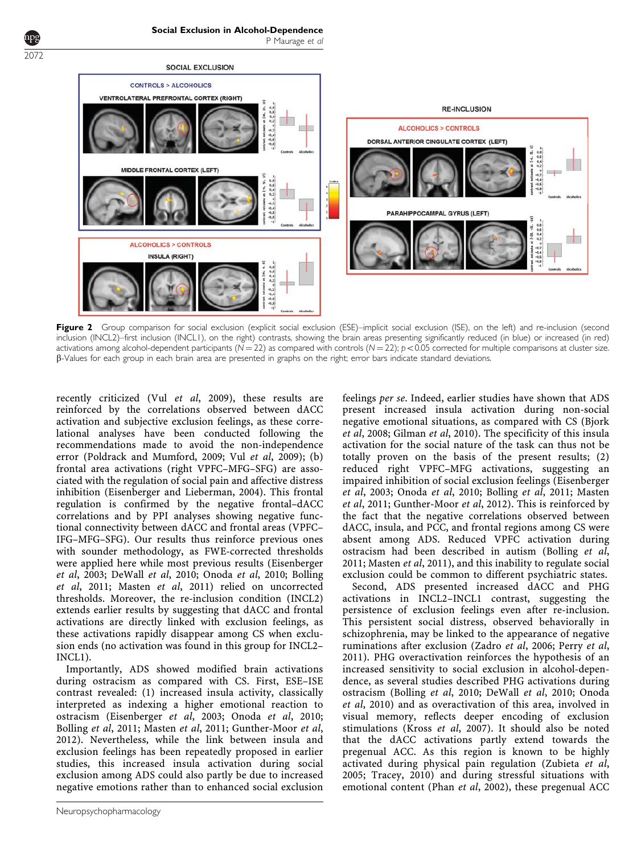<span id="page-5-0"></span>

Figure 2 Group comparison for social exclusion (explicit social exclusion (ESE)–implicit social exclusion (ISE), on the left) and re-inclusion (second inclusion (INCL2)–first inclusion (INCL1), on the right) contrasts, showing the brain areas presenting significantly reduced (in blue) or increased (in red) activations among alcohol-dependent participants ( $N = 22$ ) as compared with controls ( $N = 22$ );  $p < 0.05$  corrected for multiple comparisons at cluster size. b-Values for each group in each brain area are presented in graphs on the right; error bars indicate standard deviations.

recently criticized (Vul et al[, 2009\)](#page-8-0), these results are reinforced by the correlations observed between dACC activation and subjective exclusion feelings, as these correlational analyses have been conducted following the recommendations made to avoid the non-independence error [\(Poldrack and Mumford, 2009;](#page-8-0) Vul et al[, 2009\)](#page-8-0); (b) frontal area activations (right VPFC–MFG–SFG) are associated with the regulation of social pain and affective distress inhibition ([Eisenberger and Lieberman, 2004](#page-7-0)). This frontal regulation is confirmed by the negative frontal–dACC correlations and by PPI analyses showing negative functional connectivity between dACC and frontal areas (VPFC– IFG–MFG–SFG). Our results thus reinforce previous ones with sounder methodology, as FWE-corrected thresholds were applied here while most previous results [\(Eisenberger](#page-7-0) et al[, 2003; DeWall](#page-7-0) et al, 2010; [Onoda](#page-8-0) et al, 2010; [Bolling](#page-7-0) et al[, 2011](#page-7-0); [Masten](#page-8-0) et al, 2011) relied on uncorrected thresholds. Moreover, the re-inclusion condition (INCL2) extends earlier results by suggesting that dACC and frontal activations are directly linked with exclusion feelings, as these activations rapidly disappear among CS when exclusion ends (no activation was found in this group for INCL2– INCL1).

Importantly, ADS showed modified brain activations during ostracism as compared with CS. First, ESE–ISE contrast revealed: (1) increased insula activity, classically interpreted as indexing a higher emotional reaction to ostracism [\(Eisenberger](#page-7-0) et al, 2003; Onoda et al[, 2010](#page-8-0); [Bolling](#page-7-0) et al, 2011; [Masten](#page-8-0) et al, 2011; [Gunther-Moor](#page-8-0) et al, [2012](#page-8-0)). Nevertheless, while the link between insula and exclusion feelings has been repeatedly proposed in earlier studies, this increased insula activation during social exclusion among ADS could also partly be due to increased negative emotions rather than to enhanced social exclusion

feelings per se. Indeed, earlier studies have shown that ADS present increased insula activation during non-social negative emotional situations, as compared with CS ([Bjork](#page-7-0) et al[, 2008;](#page-7-0) [Gilman](#page-8-0) et al, 2010). The specificity of this insula activation for the social nature of the task can thus not be totally proven on the basis of the present results; (2) reduced right VPFC–MFG activations, suggesting an impaired inhibition of social exclusion feelings ([Eisenberger](#page-7-0) et al[, 2003](#page-7-0); [Onoda](#page-8-0) et al, 2010; [Bolling](#page-7-0) et al, 2011; [Masten](#page-8-0) et al[, 2011; Gunther-Moor](#page-8-0) et al, 2012). This is reinforced by the fact that the negative correlations observed between dACC, insula, and PCC, and frontal regions among CS were absent among ADS. Reduced VPFC activation during ostracism had been described in autism ([Bolling](#page-7-0) et al, [2011](#page-7-0); [Masten](#page-8-0) et al, 2011), and this inability to regulate social exclusion could be common to different psychiatric states.

Second, ADS presented increased dACC and PHG activations in INCL2–INCL1 contrast, suggesting the persistence of exclusion feelings even after re-inclusion. This persistent social distress, observed behaviorally in schizophrenia, may be linked to the appearance of negative ruminations after exclusion [\(Zadro](#page-8-0) et al, 2006; [Perry](#page-8-0) et al, [2011](#page-8-0)). PHG overactivation reinforces the hypothesis of an increased sensitivity to social exclusion in alcohol-dependence, as several studies described PHG activations during ostracism [\(Bolling](#page-7-0) et al, 2010; [DeWall](#page-7-0) et al, 2010; [Onoda](#page-8-0) et al[, 2010\)](#page-8-0) and as overactivation of this area, involved in visual memory, reflects deeper encoding of exclusion stimulations (Kross et al[, 2007\)](#page-8-0). It should also be noted that the dACC activations partly extend towards the pregenual ACC. As this region is known to be highly activated during physical pain regulation ([Zubieta](#page-8-0) et al, [2005](#page-8-0); [Tracey, 2010](#page-8-0)) and during stressful situations with emotional content (Phan et al[, 2002](#page-8-0)), these pregenual ACC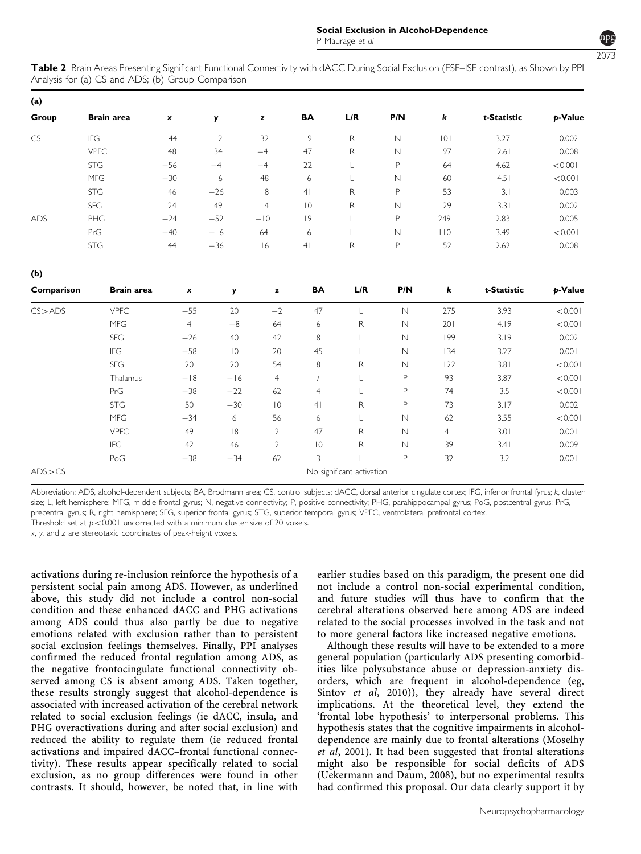

<span id="page-6-0"></span>Table 2 Brain Areas Presenting Significant Functional Connectivity with dACC During Social Exclusion (ESE–ISE contrast), as Shown by PPI Analysis for (a) CS and ADS; (b) Group Comparison

| (a)        |                   |                  |                |                |                |              |             |     |             |         |
|------------|-------------------|------------------|----------------|----------------|----------------|--------------|-------------|-----|-------------|---------|
| Group      | <b>Brain</b> area | $\boldsymbol{x}$ | y              | z              | BA             | L/R          | P/N         | k   | t-Statistic | p-Value |
| CS         | IFG               | 44               | $\overline{2}$ | 32             | 9              | $\mathsf{R}$ | $\mathbb N$ | 0   | 3.27        | 0.002   |
|            | <b>VPFC</b>       | 48               | 34             | $-4$           | 47             | $\mathsf{R}$ | $\mathbb N$ | 97  | 2.61        | 0.008   |
|            | <b>STG</b>        | $-56$            | $-4$           | $-4$           | 22             |              | P           | 64  | 4.62        | < 0.001 |
|            | <b>MFG</b>        | $-30$            | 6              | 48             | 6              |              | $\mathbb N$ | 60  | 4.51        | < 0.001 |
|            | <b>STG</b>        | 46               | $-26$          | 8              | 4 <sub>1</sub> | $\mathsf{R}$ | P           | 53  | 3.1         | 0.003   |
|            | <b>SFG</b>        | 24               | 49             | $\overline{4}$ | $ 0\rangle$    | $\mathsf{R}$ | $\mathbb N$ | 29  | 3.31        | 0.002   |
| <b>ADS</b> | PHG               | $-24$            | $-52$          | $-10$          | 9              |              | P           | 249 | 2.83        | 0.005   |
|            | PrG               | $-40$            | $-16$          | 64             | 6              |              | N           | 110 | 3.49        | < 0.001 |
|            | <b>STG</b>        | 44               | $-36$          | 16             | 4 <sub>1</sub> | R            | P           | 52  | 2.62        | 0.008   |

(b)

| $\ddot{\phantom{1}}$<br>Comparison | <b>Brain</b> area | $\boldsymbol{x}$ | y               | z              | BA             | L/R                       | P/N         | k              | t-Statistic | p-Value |
|------------------------------------|-------------------|------------------|-----------------|----------------|----------------|---------------------------|-------------|----------------|-------------|---------|
| $CS$ > ADS                         | <b>VPFC</b>       | $-55$            | 20              | $-2$           | 47             |                           | $\mathbb N$ | 275            | 3.93        | < 0.001 |
|                                    | <b>MFG</b>        | $\overline{4}$   | $-8$            | 64             | 6              | R                         | $\mathbb N$ | 201            | 4.19        | < 0.001 |
|                                    | SFG               | $-26$            | 40              | 42             | 8              | L                         | $\mathbb N$ | 199            | 3.19        | 0.002   |
|                                    | IFG               | $-58$            | $\overline{10}$ | 20             | 45             |                           | $\mathbb N$ | 134            | 3.27        | 0.001   |
|                                    | SFG               | 20               | 20              | 54             | 8              | R                         | $\mathbb N$ | 122            | 3.81        | < 0.001 |
|                                    | Thalamus          | $-18$            | $-16$           | $\overline{4}$ |                |                           | P           | 93             | 3.87        | < 0.001 |
|                                    | PrG               | $-38$            | $-22$           | 62             | $\overline{4}$ |                           | P           | 74             | 3.5         | < 0.001 |
|                                    | <b>STG</b>        | 50               | $-30$           | $\overline{0}$ | 4 <sub>1</sub> | R                         | P           | 73             | 3.17        | 0.002   |
|                                    | <b>MFG</b>        | $-34$            | 6               | 56             | 6              | L                         | N           | 62             | 3.55        | < 0.001 |
|                                    | <b>VPFC</b>       | 49               | 8               | $\overline{2}$ | 47             | R                         | $\mathbb N$ | 4 <sub>1</sub> | 3.01        | 0.001   |
|                                    | IFG               | 42               | 46              | $\overline{2}$ | $ 0\rangle$    | R                         | $\mathbb N$ | 39             | 3.41        | 0.009   |
|                                    | PoG               | $-38$            | $-34$           | 62             | 3              |                           | P           | 32             | 3.2         | 0.001   |
| ADS > CS                           |                   |                  |                 |                |                | No significant activation |             |                |             |         |

Abbreviation: ADS, alcohol-dependent subjects; BA, Brodmann area; CS, control subjects; dACC, dorsal anterior cingulate cortex; IFG, inferior frontal fyrus; k, cluster size; L, left hemisphere; MFG, middle frontal gyrus; N, negative connectivity; P, positive connectivity; PHG, parahippocampal gyrus; PoG, postcentral gyrus; PrG, precentral gyrus; R, right hemisphere; SFG, superior frontal gyrus; STG, superior temporal gyrus; VPFC, ventrolateral prefrontal cortex.

Threshold set at  $p < 0.001$  uncorrected with a minimum cluster size of 20 voxels.

x, y, and z are stereotaxic coordinates of peak-height voxels.

activations during re-inclusion reinforce the hypothesis of a persistent social pain among ADS. However, as underlined above, this study did not include a control non-social condition and these enhanced dACC and PHG activations among ADS could thus also partly be due to negative emotions related with exclusion rather than to persistent social exclusion feelings themselves. Finally, PPI analyses confirmed the reduced frontal regulation among ADS, as the negative frontocingulate functional connectivity observed among CS is absent among ADS. Taken together, these results strongly suggest that alcohol-dependence is associated with increased activation of the cerebral network related to social exclusion feelings (ie dACC, insula, and PHG overactivations during and after social exclusion) and reduced the ability to regulate them (ie reduced frontal activations and impaired dACC–frontal functional connectivity). These results appear specifically related to social exclusion, as no group differences were found in other contrasts. It should, however, be noted that, in line with

earlier studies based on this paradigm, the present one did not include a control non-social experimental condition, and future studies will thus have to confirm that the cerebral alterations observed here among ADS are indeed related to the social processes involved in the task and not to more general factors like increased negative emotions.

Although these results will have to be extended to a more general population (particularly ADS presenting comorbidities like polysubstance abuse or depression-anxiety disorders, which are frequent in alcohol-dependence (eg, Sintov et al[, 2010\)](#page-8-0)), they already have several direct implications. At the theoretical level, they extend the 'frontal lobe hypothesis' to interpersonal problems. This hypothesis states that the cognitive impairments in alcoholdependence are mainly due to frontal alterations [\(Moselhy](#page-8-0) et al[, 2001\)](#page-8-0). It had been suggested that frontal alterations might also be responsible for social deficits of ADS [\(Uekermann and Daum, 2008\)](#page-8-0), but no experimental results had confirmed this proposal. Our data clearly support it by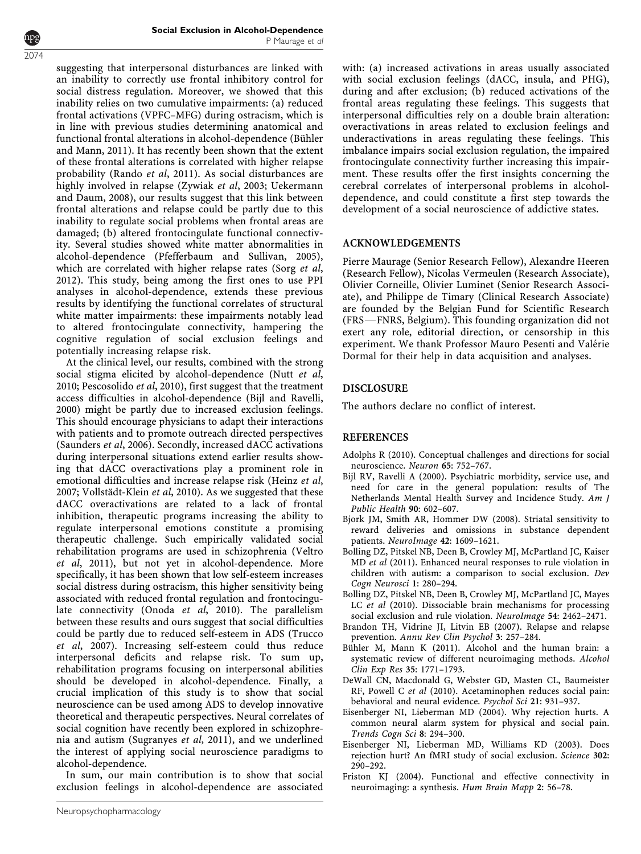<span id="page-7-0"></span>suggesting that interpersonal disturbances are linked with an inability to correctly use frontal inhibitory control for social distress regulation. Moreover, we showed that this inability relies on two cumulative impairments: (a) reduced frontal activations (VPFC–MFG) during ostracism, which is in line with previous studies determining anatomical and functional frontal alterations in alcohol-dependence (Bühler and Mann, 2011). It has recently been shown that the extent of these frontal alterations is correlated with higher relapse probability [\(Rando](#page-8-0) et al, 2011). As social disturbances are highly involved in relapse ([Zywiak](#page-8-0) et al, 2003; [Uekermann](#page-8-0) [and Daum, 2008](#page-8-0)), our results suggest that this link between frontal alterations and relapse could be partly due to this inability to regulate social problems when frontal areas are damaged; (b) altered frontocingulate functional connectivity. Several studies showed white matter abnormalities in alcohol-dependence [\(Pfefferbaum and Sullivan, 2005](#page-8-0)), which are correlated with higher relapse rates (Sorg [et al](#page-8-0), [2012](#page-8-0)). This study, being among the first ones to use PPI analyses in alcohol-dependence, extends these previous results by identifying the functional correlates of structural white matter impairments: these impairments notably lead to altered frontocingulate connectivity, hampering the cognitive regulation of social exclusion feelings and potentially increasing relapse risk.

At the clinical level, our results, combined with the strong social stigma elicited by alcohol-dependence (Nutt [et al](#page-8-0), [2010](#page-8-0); [Pescosolido](#page-8-0) et al, 2010), first suggest that the treatment access difficulties in alcohol-dependence (Bijl and Ravelli, 2000) might be partly due to increased exclusion feelings. This should encourage physicians to adapt their interactions with patients and to promote outreach directed perspectives ([Saunders](#page-8-0) et al, 2006). Secondly, increased dACC activations during interpersonal situations extend earlier results showing that dACC overactivations play a prominent role in emotional difficulties and increase relapse risk [\(Heinz](#page-8-0) et al, [2007](#page-8-0); Vollstädt-Klein et al, 2010). As we suggested that these dACC overactivations are related to a lack of frontal inhibition, therapeutic programs increasing the ability to regulate interpersonal emotions constitute a promising therapeutic challenge. Such empirically validated social rehabilitation programs are used in schizophrenia ([Veltro](#page-8-0) et al[, 2011\)](#page-8-0), but not yet in alcohol-dependence. More specifically, it has been shown that low self-esteem increases social distress during ostracism, this higher sensitivity being associated with reduced frontal regulation and frontocingu-late connectivity (Onoda et al[, 2010\)](#page-8-0). The parallelism between these results and ours suggest that social difficulties could be partly due to reduced self-esteem in ADS [\(Trucco](#page-8-0) et al[, 2007\)](#page-8-0). Increasing self-esteem could thus reduce interpersonal deficits and relapse risk. To sum up, rehabilitation programs focusing on interpersonal abilities should be developed in alcohol-dependence. Finally, a crucial implication of this study is to show that social neuroscience can be used among ADS to develop innovative theoretical and therapeutic perspectives. Neural correlates of social cognition have recently been explored in schizophrenia and autism [\(Sugranyes](#page-8-0) et al, 2011), and we underlined the interest of applying social neuroscience paradigms to alcohol-dependence.

In sum, our main contribution is to show that social exclusion feelings in alcohol-dependence are associated

with: (a) increased activations in areas usually associated with social exclusion feelings (dACC, insula, and PHG), during and after exclusion; (b) reduced activations of the frontal areas regulating these feelings. This suggests that interpersonal difficulties rely on a double brain alteration: overactivations in areas related to exclusion feelings and underactivations in areas regulating these feelings. This imbalance impairs social exclusion regulation, the impaired frontocingulate connectivity further increasing this impairment. These results offer the first insights concerning the cerebral correlates of interpersonal problems in alcoholdependence, and could constitute a first step towards the development of a social neuroscience of addictive states.

## ACKNOWLEDGEMENTS

Pierre Maurage (Senior Research Fellow), Alexandre Heeren (Research Fellow), Nicolas Vermeulen (Research Associate), Olivier Corneille, Olivier Luminet (Senior Research Associate), and Philippe de Timary (Clinical Research Associate) are founded by the Belgian Fund for Scientific Research (FRS—FNRS, Belgium). This founding organization did not exert any role, editorial direction, or censorship in this experiment. We thank Professor Mauro Pesenti and Valérie Dormal for their help in data acquisition and analyses.

## DISCLOSURE

The authors declare no conflict of interest.

#### REFERENCES

- Adolphs R (2010). Conceptual challenges and directions for social neuroscience. Neuron 65: 752–767.
- Bijl RV, Ravelli A (2000). Psychiatric morbidity, service use, and need for care in the general population: results of The Netherlands Mental Health Survey and Incidence Study. Am J Public Health 90: 602–607.
- Bjork JM, Smith AR, Hommer DW (2008). Striatal sensitivity to reward deliveries and omissions in substance dependent patients. NeuroImage 42: 1609–1621.
- Bolling DZ, Pitskel NB, Deen B, Crowley MJ, McPartland JC, Kaiser MD et al (2011). Enhanced neural responses to rule violation in children with autism: a comparison to social exclusion. Dev Cogn Neurosci 1: 280–294.
- Bolling DZ, Pitskel NB, Deen B, Crowley MJ, McPartland JC, Mayes LC et al (2010). Dissociable brain mechanisms for processing social exclusion and rule violation. NeuroImage 54: 2462–2471.
- Brandon TH, Vidrine JI, Litvin EB (2007). Relapse and relapse prevention. Annu Rev Clin Psychol 3: 257–284.
- Bühler M, Mann K (2011). Alcohol and the human brain: a systematic review of different neuroimaging methods. Alcohol Clin Exp Res 35: 1771–1793.
- DeWall CN, Macdonald G, Webster GD, Masten CL, Baumeister RF, Powell C et al (2010). Acetaminophen reduces social pain: behavioral and neural evidence. Psychol Sci 21: 931–937.
- Eisenberger NI, Lieberman MD (2004). Why rejection hurts. A common neural alarm system for physical and social pain. Trends Cogn Sci 8: 294–300.
- Eisenberger NI, Lieberman MD, Williams KD (2003). Does rejection hurt? An fMRI study of social exclusion. Science 302: 290–292.
- Friston KJ (2004). Functional and effective connectivity in neuroimaging: a synthesis. Hum Brain Mapp 2: 56–78.